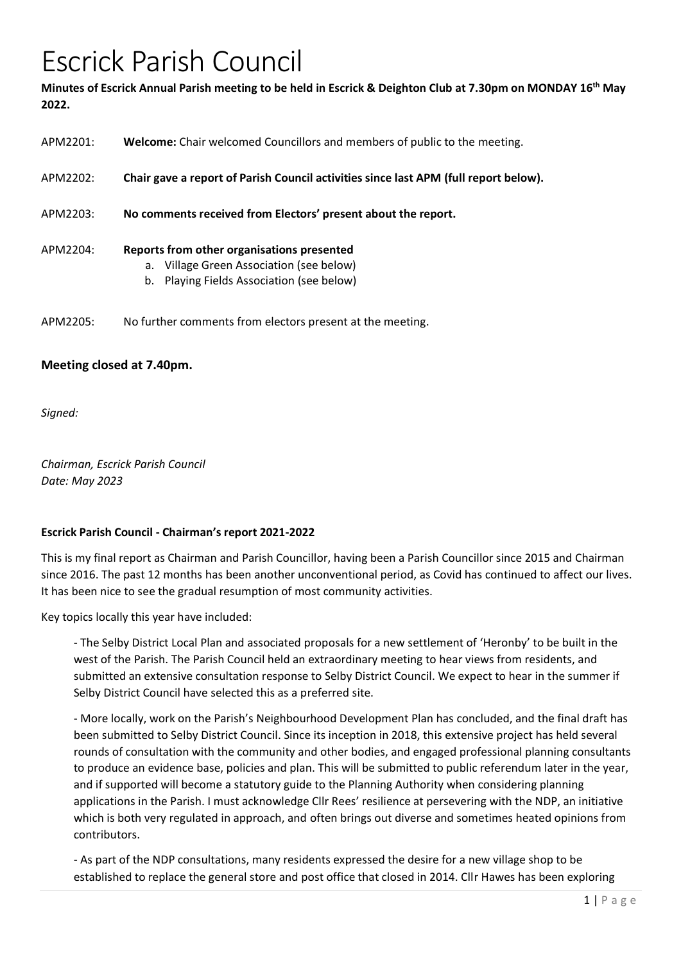# Escrick Parish Council

**Minutes of Escrick Annual Parish meeting to be held in Escrick & Deighton Club at 7.30pm on MONDAY 16th May 2022.**

| APM2201: | <b>Welcome:</b> Chair welcomed Councillors and members of public to the meeting.                                                    |
|----------|-------------------------------------------------------------------------------------------------------------------------------------|
| APM2202: | Chair gave a report of Parish Council activities since last APM (full report below).                                                |
| APM2203: | No comments received from Electors' present about the report.                                                                       |
| APM2204: | Reports from other organisations presented<br>a. Village Green Association (see below)<br>b. Playing Fields Association (see below) |
| APM2205: | No further comments from electors present at the meeting.                                                                           |

## **Meeting closed at 7.40pm.**

*Signed:* 

*Chairman, Escrick Parish Council Date: May 2023*

## **Escrick Parish Council - Chairman's report 2021-2022**

This is my final report as Chairman and Parish Councillor, having been a Parish Councillor since 2015 and Chairman since 2016. The past 12 months has been another unconventional period, as Covid has continued to affect our lives. It has been nice to see the gradual resumption of most community activities.

Key topics locally this year have included:

- The Selby District Local Plan and associated proposals for a new settlement of 'Heronby' to be built in the west of the Parish. The Parish Council held an extraordinary meeting to hear views from residents, and submitted an extensive consultation response to Selby District Council. We expect to hear in the summer if Selby District Council have selected this as a preferred site.

- More locally, work on the Parish's Neighbourhood Development Plan has concluded, and the final draft has been submitted to Selby District Council. Since its inception in 2018, this extensive project has held several rounds of consultation with the community and other bodies, and engaged professional planning consultants to produce an evidence base, policies and plan. This will be submitted to public referendum later in the year, and if supported will become a statutory guide to the Planning Authority when considering planning applications in the Parish. I must acknowledge Cllr Rees' resilience at persevering with the NDP, an initiative which is both very regulated in approach, and often brings out diverse and sometimes heated opinions from contributors.

- As part of the NDP consultations, many residents expressed the desire for a new village shop to be established to replace the general store and post office that closed in 2014. Cllr Hawes has been exploring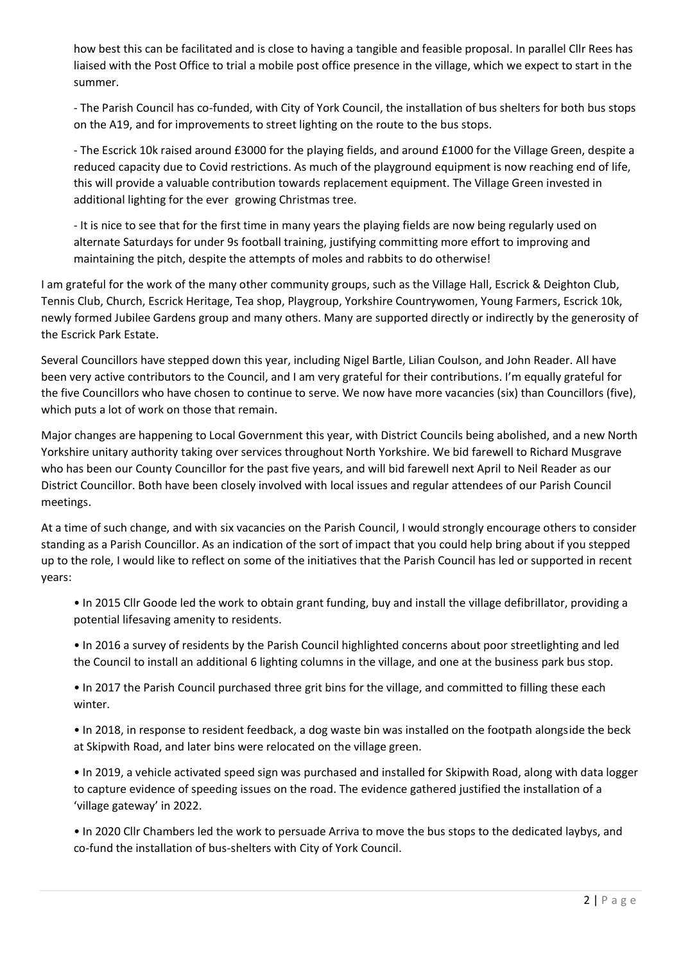how best this can be facilitated and is close to having a tangible and feasible proposal. In parallel Cllr Rees has liaised with the Post Office to trial a mobile post office presence in the village, which we expect to start in the summer.

- The Parish Council has co-funded, with City of York Council, the installation of bus shelters for both bus stops on the A19, and for improvements to street lighting on the route to the bus stops.

- The Escrick 10k raised around £3000 for the playing fields, and around £1000 for the Village Green, despite a reduced capacity due to Covid restrictions. As much of the playground equipment is now reaching end of life, this will provide a valuable contribution towards replacement equipment. The Village Green invested in additional lighting for the ever growing Christmas tree.

- It is nice to see that for the first time in many years the playing fields are now being regularly used on alternate Saturdays for under 9s football training, justifying committing more effort to improving and maintaining the pitch, despite the attempts of moles and rabbits to do otherwise!

I am grateful for the work of the many other community groups, such as the Village Hall, Escrick & Deighton Club, Tennis Club, Church, Escrick Heritage, Tea shop, Playgroup, Yorkshire Countrywomen, Young Farmers, Escrick 10k, newly formed Jubilee Gardens group and many others. Many are supported directly or indirectly by the generosity of the Escrick Park Estate.

Several Councillors have stepped down this year, including Nigel Bartle, Lilian Coulson, and John Reader. All have been very active contributors to the Council, and I am very grateful for their contributions. I'm equally grateful for the five Councillors who have chosen to continue to serve. We now have more vacancies (six) than Councillors (five), which puts a lot of work on those that remain.

Major changes are happening to Local Government this year, with District Councils being abolished, and a new North Yorkshire unitary authority taking over services throughout North Yorkshire. We bid farewell to Richard Musgrave who has been our County Councillor for the past five years, and will bid farewell next April to Neil Reader as our District Councillor. Both have been closely involved with local issues and regular attendees of our Parish Council meetings.

At a time of such change, and with six vacancies on the Parish Council, I would strongly encourage others to consider standing as a Parish Councillor. As an indication of the sort of impact that you could help bring about if you stepped up to the role, I would like to reflect on some of the initiatives that the Parish Council has led or supported in recent years:

• In 2015 Cllr Goode led the work to obtain grant funding, buy and install the village defibrillator, providing a potential lifesaving amenity to residents.

• In 2016 a survey of residents by the Parish Council highlighted concerns about poor streetlighting and led the Council to install an additional 6 lighting columns in the village, and one at the business park bus stop.

• In 2017 the Parish Council purchased three grit bins for the village, and committed to filling these each winter.

• In 2018, in response to resident feedback, a dog waste bin was installed on the footpath alongside the beck at Skipwith Road, and later bins were relocated on the village green.

• In 2019, a vehicle activated speed sign was purchased and installed for Skipwith Road, along with data logger to capture evidence of speeding issues on the road. The evidence gathered justified the installation of a 'village gateway' in 2022.

• In 2020 Cllr Chambers led the work to persuade Arriva to move the bus stops to the dedicated laybys, and co-fund the installation of bus-shelters with City of York Council.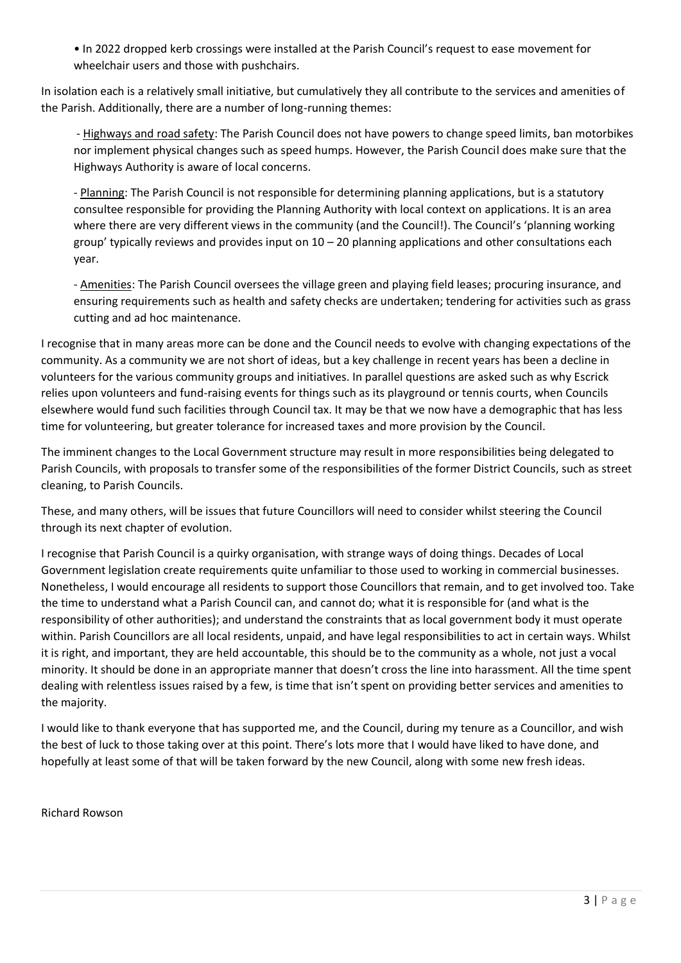• In 2022 dropped kerb crossings were installed at the Parish Council's request to ease movement for wheelchair users and those with pushchairs.

In isolation each is a relatively small initiative, but cumulatively they all contribute to the services and amenities of the Parish. Additionally, there are a number of long-running themes:

- Highways and road safety: The Parish Council does not have powers to change speed limits, ban motorbikes nor implement physical changes such as speed humps. However, the Parish Council does make sure that the Highways Authority is aware of local concerns.

- Planning: The Parish Council is not responsible for determining planning applications, but is a statutory consultee responsible for providing the Planning Authority with local context on applications. It is an area where there are very different views in the community (and the Council!). The Council's 'planning working group' typically reviews and provides input on 10 – 20 planning applications and other consultations each year.

- Amenities: The Parish Council oversees the village green and playing field leases; procuring insurance, and ensuring requirements such as health and safety checks are undertaken; tendering for activities such as grass cutting and ad hoc maintenance.

I recognise that in many areas more can be done and the Council needs to evolve with changing expectations of the community. As a community we are not short of ideas, but a key challenge in recent years has been a decline in volunteers for the various community groups and initiatives. In parallel questions are asked such as why Escrick relies upon volunteers and fund-raising events for things such as its playground or tennis courts, when Councils elsewhere would fund such facilities through Council tax. It may be that we now have a demographic that has less time for volunteering, but greater tolerance for increased taxes and more provision by the Council.

The imminent changes to the Local Government structure may result in more responsibilities being delegated to Parish Councils, with proposals to transfer some of the responsibilities of the former District Councils, such as street cleaning, to Parish Councils.

These, and many others, will be issues that future Councillors will need to consider whilst steering the Council through its next chapter of evolution.

I recognise that Parish Council is a quirky organisation, with strange ways of doing things. Decades of Local Government legislation create requirements quite unfamiliar to those used to working in commercial businesses. Nonetheless, I would encourage all residents to support those Councillors that remain, and to get involved too. Take the time to understand what a Parish Council can, and cannot do; what it is responsible for (and what is the responsibility of other authorities); and understand the constraints that as local government body it must operate within. Parish Councillors are all local residents, unpaid, and have legal responsibilities to act in certain ways. Whilst it is right, and important, they are held accountable, this should be to the community as a whole, not just a vocal minority. It should be done in an appropriate manner that doesn't cross the line into harassment. All the time spent dealing with relentless issues raised by a few, is time that isn't spent on providing better services and amenities to the majority.

I would like to thank everyone that has supported me, and the Council, during my tenure as a Councillor, and wish the best of luck to those taking over at this point. There's lots more that I would have liked to have done, and hopefully at least some of that will be taken forward by the new Council, along with some new fresh ideas.

Richard Rowson